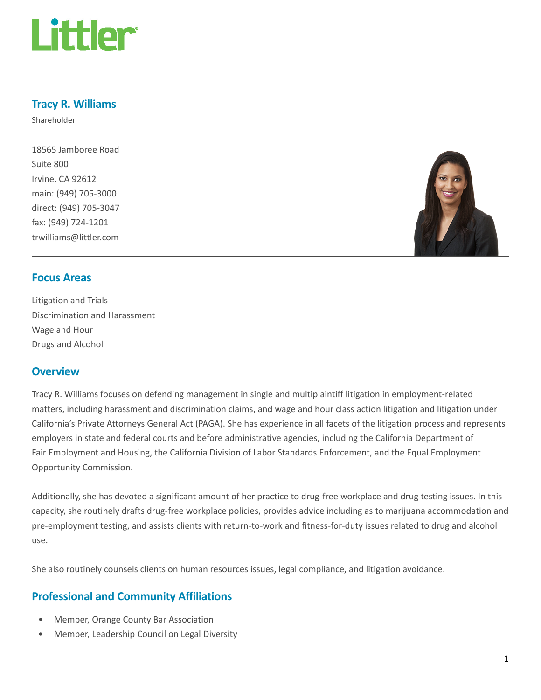

# Tracy R. Williams

Shareholder

18565 Jamboree Road Suite 800 Irvine, CA 92612 main: (949) 705-3000 direct: (949) 705-3047 fax: (949) 724-1201 trwilliams@littler.com



# Focus Areas

Litigation and Trials Discrimination and Harassment Wage and Hour Drugs and Alcohol

## **Overview**

Tracy R. Williams focuses on defending management in single and multiplaintiff litigation in employment-related matters, including harassment and discrimination claims, and wage and hour class action litigation and litigation under California's Private Attorneys General Act (PAGA). She has experience in all facets of the litigation process and represents employers in state and federal courts and before administrative agencies, including the California Department of Fair Employment and Housing, the California Division of Labor Standards Enforcement, and the Equal Employment Opportunity Commission.

Additionally, she has devoted a significant amount of her practice to drug-free workplace and drug testing issues. In this capacity, she routinely drafts drug-free workplace policies, provides advice including as to marijuana accommodation and pre-employment testing, and assists clients with return-to-work and fitness-for-duty issues related to drug and alcohol use.

She also routinely counsels clients on human resources issues, legal compliance, and litigation avoidance.

# Professional and Community Affiliations

- Member, Orange County Bar Association
- Member, Leadership Council on Legal Diversity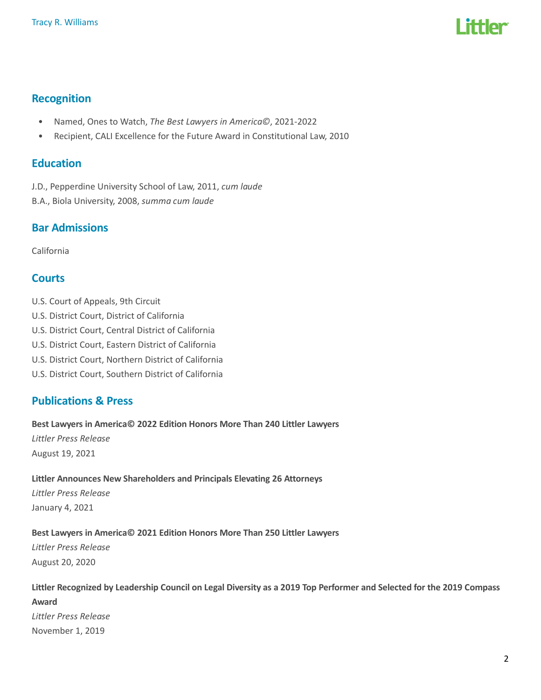

## Recognition

- Named, Ones to Watch, The Best Lawyers in America©, 2021-2022
- Recipient, CALI Excellence for the Future Award in Constitutional Law, 2010

## Education

J.D., Pepperdine University School of Law, 2011, cum laude B.A., Biola University, 2008, summa cum laude

# Bar Admissions

California

# **Courts**

- U.S. Court of Appeals, 9th Circuit
- U.S. District Court, District of California
- U.S. District Court, Central District of California
- U.S. District Court, Eastern District of California
- U.S. District Court, Northern District of California
- U.S. District Court, Southern District of California

## Publications & Press

#### Best Lawyers in America© 2022 Edition Honors More Than 240 Littler Lawyers

Littler Press Release August 19, 2021

#### Littler Announces New Shareholders and Principals Elevating 26 Attorneys

Littler Press Release January 4, 2021

## Best Lawyers in America© 2021 Edition Honors More Than 250 Littler Lawyers

Littler Press Release August 20, 2020

# Littler Recognized by Leadership Council on Legal Diversity as a 2019 Top Performer and Selected for the 2019 Compass Award Littler Press Release November 1, 2019